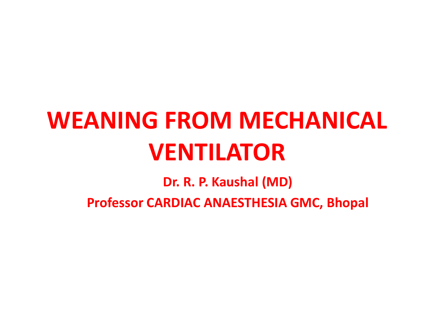# **WEANING FROM MECHANICAL VENTILATOR**

**Dr. R. P. Kaushal (MD)**

**Professor CARDIAC ANAESTHESIA GMC, Bhopal**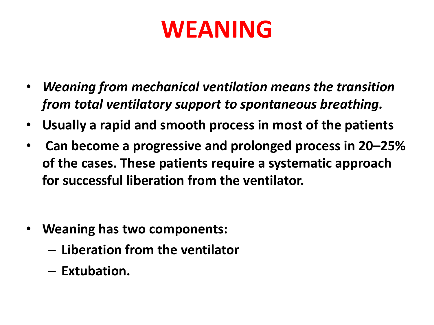## **WEANING**

- *Weaning from mechanical ventilation means the transition from total ventilatory support to spontaneous breathing.*
- **Usually a rapid and smooth process in most of the patients**
- **Can become a progressive and prolonged process in 20–25% of the cases. These patients require a systematic approach for successful liberation from the ventilator.**

- **Weaning has two components:** 
	- **Liberation from the ventilator**
	- **Extubation.**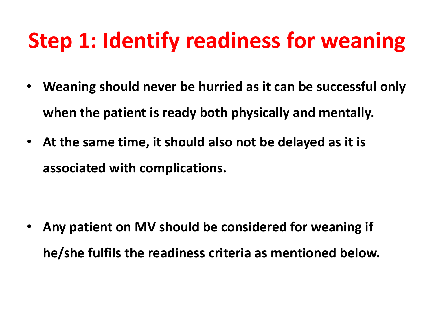### **Step 1: Identify readiness for weaning**

- **Weaning should never be hurried as it can be successful only when the patient is ready both physically and mentally.**
- **At the same time, it should also not be delayed as it is associated with complications.**

• **Any patient on MV should be considered for weaning if he/she fulfils the readiness criteria as mentioned below.**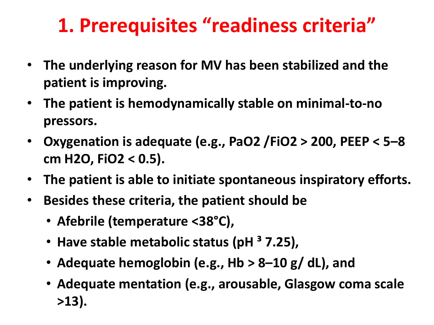#### **1. Prerequisites "readiness criteria"**

- **The underlying reason for MV has been stabilized and the patient is improving.**
- **The patient is hemodynamically stable on minimal-to-no pressors.**
- **Oxygenation is adequate (e.g., PaO2 /FiO2 > 200, PEEP < 5–8 cm H2O, FiO2 < 0.5).**
- **The patient is able to initiate spontaneous inspiratory efforts.**
- **Besides these criteria, the patient should be** 
	- **Afebrile (temperature <38°C),**
	- **Have stable metabolic status (pH ³ 7.25),**
	- **Adequate hemoglobin (e.g., Hb > 8–10 g/ dL), and**
	- **Adequate mentation (e.g., arousable, Glasgow coma scale >13).**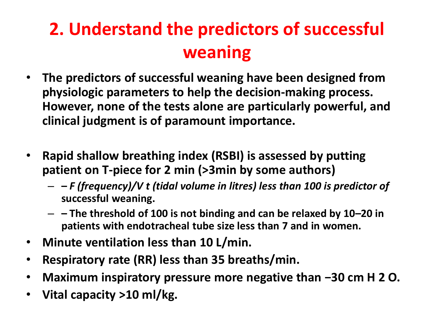#### **2. Understand the predictors of successful weaning**

- **The predictors of successful weaning have been designed from physiologic parameters to help the decision-making process. However, none of the tests alone are particularly powerful, and clinical judgment is of paramount importance.**
- **Rapid shallow breathing index (RSBI) is assessed by putting patient on T-piece for 2 min (>3min by some authors)**
	- **–** *F (frequency)/V t (tidal volume in litres) less than 100 is predictor of*  **successful weaning.**
	- **– The threshold of 100 is not binding and can be relaxed by 10–20 in patients with endotracheal tube size less than 7 and in women.**
- **Minute ventilation less than 10 L/min.**
- **Respiratory rate (RR) less than 35 breaths/min.**
- **Maximum inspiratory pressure more negative than −30 cm H 2 O.**
- **Vital capacity >10 ml/kg.**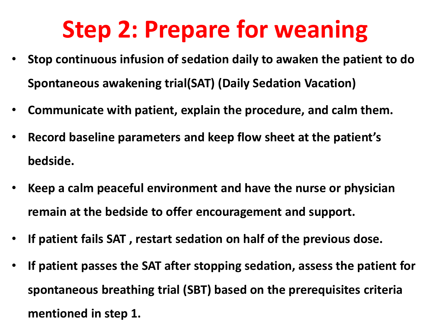## **Step 2: Prepare for weaning**

- **Stop continuous infusion of sedation daily to awaken the patient to do Spontaneous awakening trial(SAT) (Daily Sedation Vacation)**
- **Communicate with patient, explain the procedure, and calm them.**
- **Record baseline parameters and keep flow sheet at the patient's bedside.**
- **Keep a calm peaceful environment and have the nurse or physician remain at the bedside to offer encouragement and support.**
- **If patient fails SAT , restart sedation on half of the previous dose.**
- **If patient passes the SAT after stopping sedation, assess the patient for spontaneous breathing trial (SBT) based on the prerequisites criteria mentioned in step 1.**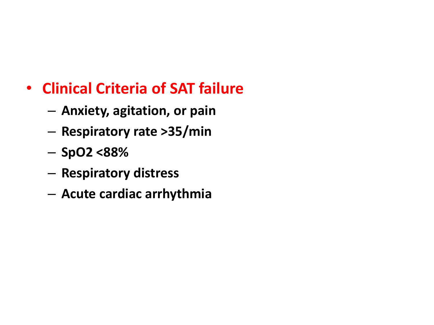#### • **Clinical Criteria of SAT failure**

- **Anxiety, agitation, or pain**
- **Respiratory rate >35/min**
- **SpO2 <88%**
- **Respiratory distress**
- **Acute cardiac arrhythmia**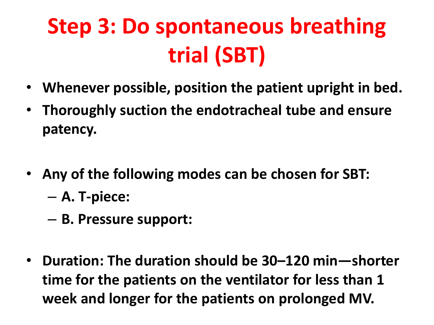## **Step 3: Do spontaneous breathing trial (SBT)**

- **Whenever possible, position the patient upright in bed.**
- **Thoroughly suction the endotracheal tube and ensure patency.**
- **Any of the following modes can be chosen for SBT:** – **A. T-piece:**
	- **B. Pressure support:**
- **Duration: The duration should be 30–120 min—shorter time for the patients on the ventilator for less than 1 week and longer for the patients on prolonged MV.**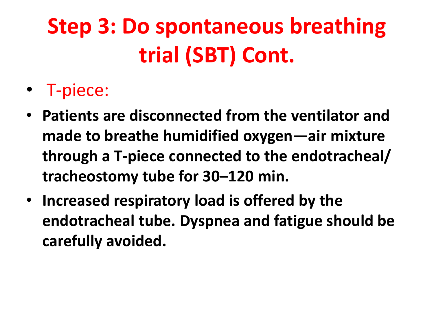## **Step 3: Do spontaneous breathing trial (SBT) Cont.**

- T-piece:
- **Patients are disconnected from the ventilator and made to breathe humidified oxygen—air mixture through a T-piece connected to the endotracheal/ tracheostomy tube for 30–120 min.**
- **Increased respiratory load is offered by the endotracheal tube. Dyspnea and fatigue should be carefully avoided.**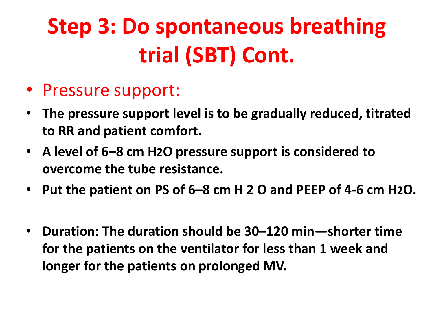## **Step 3: Do spontaneous breathing trial (SBT) Cont.**

- Pressure support:
- **The pressure support level is to be gradually reduced, titrated to RR and patient comfort.**
- **A level of 6–8 cm H2O pressure support is considered to overcome the tube resistance.**
- **Put the patient on PS of 6–8 cm H 2 O and PEEP of 4-6 cm H2O.**
- **Duration: The duration should be 30–120 min—shorter time for the patients on the ventilator for less than 1 week and longer for the patients on prolonged MV.**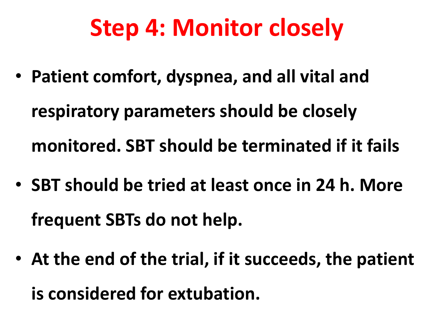## **Step 4: Monitor closely**

- **Patient comfort, dyspnea, and all vital and respiratory parameters should be closely monitored. SBT should be terminated if it fails**
- **SBT should be tried at least once in 24 h. More frequent SBTs do not help.**
- **At the end of the trial, if it succeeds, the patient is considered for extubation.**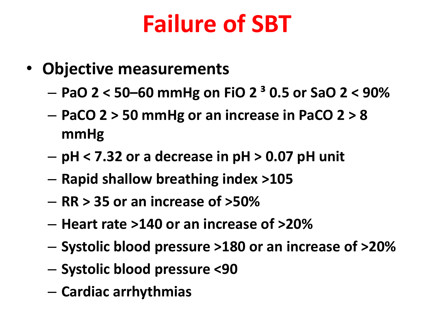## **Failure of SBT**

- **Objective measurements** 
	- **PaO 2 < 50–60 mmHg on FiO 2 ³ 0.5 or SaO 2 < 90%**
	- **PaCO 2 > 50 mmHg or an increase in PaCO 2 > 8 mmHg**
	- **pH < 7.32 or a decrease in pH > 0.07 pH unit**
	- **Rapid shallow breathing index >105**
	- **RR > 35 or an increase of >50%**
	- **Heart rate >140 or an increase of >20%**
	- **Systolic blood pressure >180 or an increase of >20%**
	- **Systolic blood pressure <90**
	- **Cardiac arrhythmias**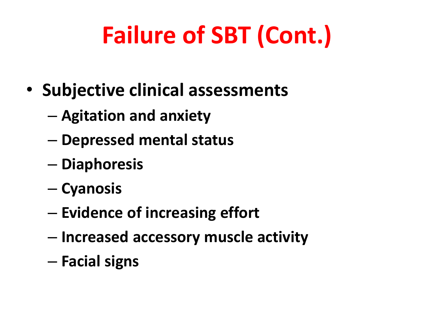# **Failure of SBT (Cont.)**

- **Subjective clinical assessments** 
	- **Agitation and anxiety**
	- **Depressed mental status**
	- **Diaphoresis**
	- **Cyanosis**
	- **Evidence of increasing effort**
	- **Increased accessory muscle activity**
	- **Facial signs**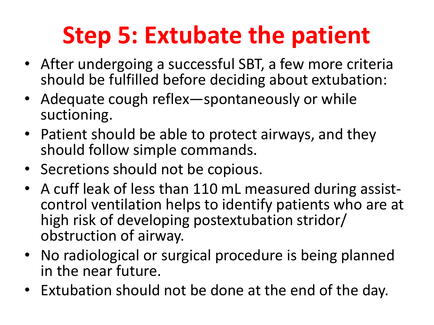# **Step 5: Extubate the patient**

- After undergoing a successful SBT, a few more criteria should be fulfilled before deciding about extubation:
- Adequate cough reflex—spontaneously or while suctioning.
- Patient should be able to protect airways, and they should follow simple commands.
- Secretions should not be copious.
- A cuff leak of less than 110 mL measured during assistcontrol ventilation helps to identify patients who are at high risk of developing postextubation stridor/ obstruction of airway.
- No radiological or surgical procedure is being planned in the near future.
- Extubation should not be done at the end of the day.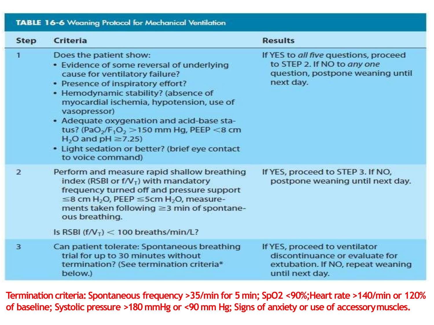| <b>TABLE 16-6 Weaning Protocol for Mechanical Ventilation</b> |                                                                                                                                                                                                                                                                                                                                                                                                                                                                                  |                                                                                                                         |
|---------------------------------------------------------------|----------------------------------------------------------------------------------------------------------------------------------------------------------------------------------------------------------------------------------------------------------------------------------------------------------------------------------------------------------------------------------------------------------------------------------------------------------------------------------|-------------------------------------------------------------------------------------------------------------------------|
| <b>Step</b>                                                   | <b>Criteria</b>                                                                                                                                                                                                                                                                                                                                                                                                                                                                  | <b>Results</b>                                                                                                          |
| 1                                                             | Does the patient show:<br>• Evidence of some reversal of underlying<br>cause for ventilatory failure?<br>• Presence of inspiratory effort?<br>• Hemodynamic stability? (absence of<br>myocardial ischemia, hypotension, use of<br>vasopressor)<br>• Adequate oxygenation and acid-base sta-<br>tus? (PaO <sub>2</sub> /F <sub>1</sub> O <sub>2</sub> > 150 mm Hg, PEEP <8 cm<br>$H2O$ and pH $\geq$ 7.25)<br>• Light sedation or better? (brief eye contact<br>to voice command) | If YES to all five questions, proceed<br>to STEP 2. If NO to any one<br>question, postpone weaning until<br>next day.   |
| $\overline{2}$                                                | Perform and measure rapid shallow breathing<br>index (RSBI or $f/\mathcal{V}_T$ ) with mandatory<br>frequency turned off and pressure support<br>$\leq$ 8 cm H <sub>2</sub> O, PEEP $\leq$ 5cm H <sub>2</sub> O, measure-<br>ments taken following ≥3 min of spontane-<br>ous breathing.<br>Is RSBI ( $f/V_T$ ) < 100 breaths/min/L?                                                                                                                                             | If YES, proceed to STEP 3. If NO,<br>postpone weaning until next day.                                                   |
| 3                                                             | Can patient tolerate: Spontaneous breathing<br>trial for up to 30 minutes without<br>termination? (See termination criteria*<br>below.)                                                                                                                                                                                                                                                                                                                                          | If YES, proceed to ventilator<br>discontinuance or evaluate for<br>extubation. If NO, repeat weaning<br>until next day. |

**Termination criteria: Spontaneous frequency >35/min for 5 min; SpO2 <90%;Heart rate >140/min or 120% of baseline; Systolic pressure >180 mmHg or <90 mm Hg; Signs of anxiety or use of accessorymuscles.**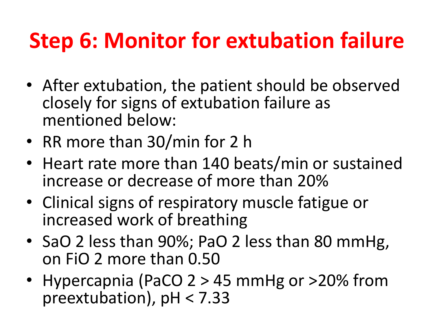### **Step 6: Monitor for extubation failure**

- After extubation, the patient should be observed closely for signs of extubation failure as mentioned below:
- RR more than 30/min for 2 h
- Heart rate more than 140 beats/min or sustained increase or decrease of more than 20%
- Clinical signs of respiratory muscle fatigue or increased work of breathing
- SaO 2 less than 90%; PaO 2 less than 80 mmHg, on FiO 2 more than 0.50
- Hypercapnia (PaCO 2 > 45 mmHg or >20% from preextubation), pH < 7.33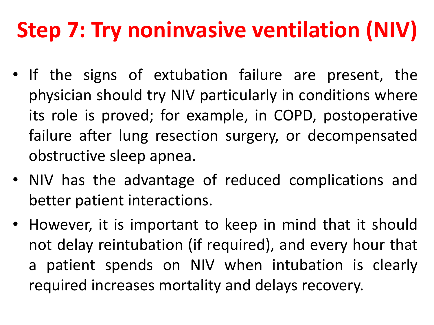## **Step 7: Try noninvasive ventilation (NIV)**

- If the signs of extubation failure are present, the physician should try NIV particularly in conditions where its role is proved; for example, in COPD, postoperative failure after lung resection surgery, or decompensated obstructive sleep apnea.
- NIV has the advantage of reduced complications and better patient interactions.
- However, it is important to keep in mind that it should not delay reintubation (if required), and every hour that a patient spends on NIV when intubation is clearly required increases mortality and delays recovery.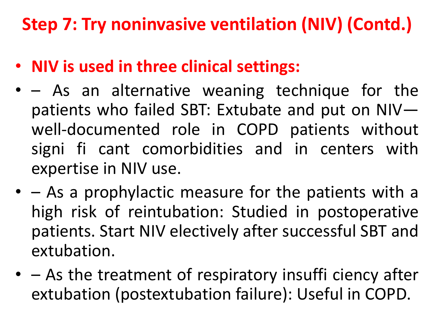#### **Step 7: Try noninvasive ventilation (NIV) (Contd.)**

- **NIV is used in three clinical settings:**
- – As an alternative weaning technique for the patients who failed SBT: Extubate and put on NIV well-documented role in COPD patients without signi fi cant comorbidities and in centers with expertise in NIV use.
- – As a prophylactic measure for the patients with a high risk of reintubation: Studied in postoperative patients. Start NIV electively after successful SBT and extubation.
- – As the treatment of respiratory insuffi ciency after extubation (postextubation failure): Useful in COPD.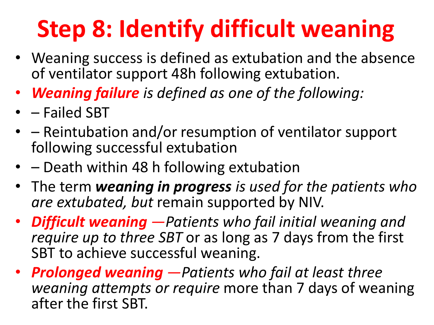# **Step 8: Identify difficult weaning**

- Weaning success is defined as extubation and the absence of ventilator support 48h following extubation.
- *Weaning failure is defined as one of the following:*
- – Failed SBT
- – Reintubation and/or resumption of ventilator support following successful extubation
- – Death within 48 h following extubation
- The term *weaning in progress is used for the patients who are extubated, but* remain supported by NIV.
- *Difficult weaning —Patients who fail initial weaning and require up to three SBT* or as long as 7 days from the first SBT to achieve successful weaning.
- *Prolonged weaning —Patients who fail at least three weaning attempts or require* more than 7 days of weaning after the first SBT.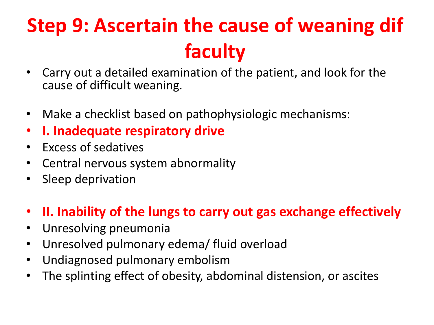#### **Step 9: Ascertain the cause of weaning dif faculty**

- Carry out a detailed examination of the patient, and look for the cause of difficult weaning.
- Make a checklist based on pathophysiologic mechanisms:
- **I. Inadequate respiratory drive**
- Excess of sedatives
- Central nervous system abnormality
- Sleep deprivation

#### • **II. Inability of the lungs to carry out gas exchange effectively**

- Unresolving pneumonia
- Unresolved pulmonary edema/ fluid overload
- Undiagnosed pulmonary embolism
- The splinting effect of obesity, abdominal distension, or ascites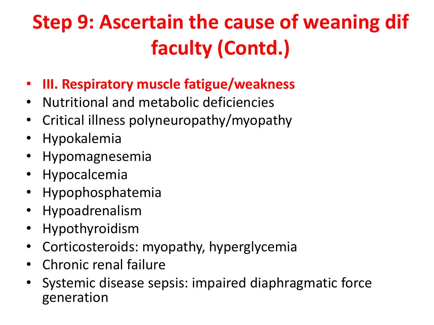### **Step 9: Ascertain the cause of weaning dif faculty (Contd.)**

- **III. Respiratory muscle fatigue/weakness**
- Nutritional and metabolic deficiencies
- Critical illness polyneuropathy/myopathy
- Hypokalemia
- Hypomagnesemia
- Hypocalcemia
- Hypophosphatemia
- Hypoadrenalism
- Hypothyroidism
- Corticosteroids: myopathy, hyperglycemia
- Chronic renal failure
- Systemic disease sepsis: impaired diaphragmatic force generation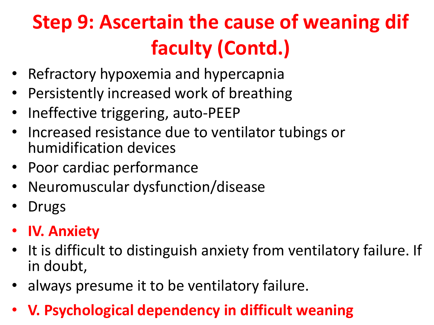### **Step 9: Ascertain the cause of weaning dif faculty (Contd.)**

- Refractory hypoxemia and hypercapnia
- Persistently increased work of breathing
- Ineffective triggering, auto-PEEP
- Increased resistance due to ventilator tubings or humidification devices
- Poor cardiac performance
- Neuromuscular dysfunction/disease
- **Drugs**
- **IV. Anxiety**
- It is difficult to distinguish anxiety from ventilatory failure. If in doubt,
- always presume it to be ventilatory failure.
- **V. Psychological dependency in difficult weaning**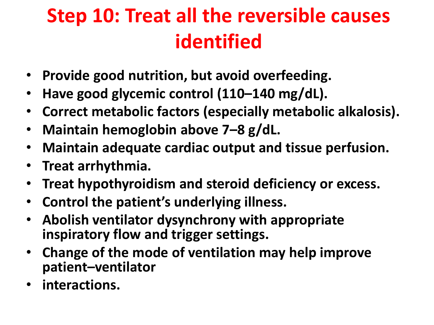#### **Step 10: Treat all the reversible causes identified**

- **Provide good nutrition, but avoid overfeeding.**
- **Have good glycemic control (110–140 mg/dL).**
- **Correct metabolic factors (especially metabolic alkalosis).**
- **Maintain hemoglobin above 7–8 g/dL.**
- **Maintain adequate cardiac output and tissue perfusion.**
- **Treat arrhythmia.**
- **Treat hypothyroidism and steroid deficiency or excess.**
- **Control the patient's underlying illness.**
- **Abolish ventilator dysynchrony with appropriate inspiratory flow and trigger settings.**
- **Change of the mode of ventilation may help improve patient–ventilator**
- **interactions.**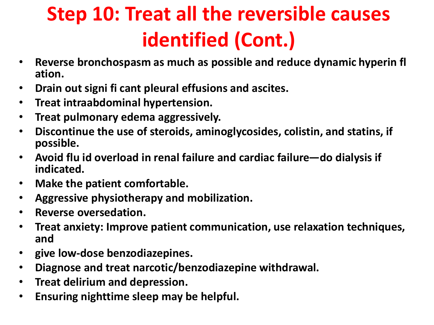#### **Step 10: Treat all the reversible causes identified (Cont.)**

- **Reverse bronchospasm as much as possible and reduce dynamic hyperin fl ation.**
- **Drain out signi fi cant pleural effusions and ascites.**
- **Treat intraabdominal hypertension.**
- **Treat pulmonary edema aggressively.**
- **Discontinue the use of steroids, aminoglycosides, colistin, and statins, if possible.**
- **Avoid flu id overload in renal failure and cardiac failure—do dialysis if indicated.**
- **Make the patient comfortable.**
- **Aggressive physiotherapy and mobilization.**
- **Reverse oversedation.**
- **Treat anxiety: Improve patient communication, use relaxation techniques, and**
- **give low-dose benzodiazepines.**
- **Diagnose and treat narcotic/benzodiazepine withdrawal.**
- **Treat delirium and depression.**
- **Ensuring nighttime sleep may be helpful.**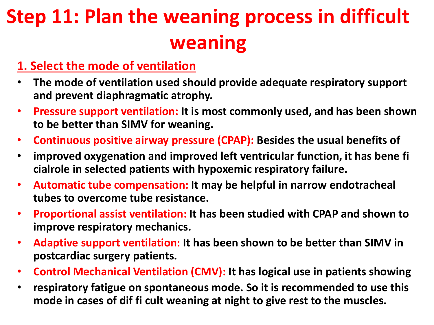#### **Step 11: Plan the weaning process in difficult weaning**

#### **1. Select the mode of ventilation**

- **The mode of ventilation used should provide adequate respiratory support and prevent diaphragmatic atrophy.**
- **Pressure support ventilation: It is most commonly used, and has been shown to be better than SIMV for weaning.**
- **Continuous positive airway pressure (CPAP): Besides the usual benefits of**
- **improved oxygenation and improved left ventricular function, it has bene fi cialrole in selected patients with hypoxemic respiratory failure.**
- **Automatic tube compensation: It may be helpful in narrow endotracheal tubes to overcome tube resistance.**
- **Proportional assist ventilation: It has been studied with CPAP and shown to improve respiratory mechanics.**
- **Adaptive support ventilation: It has been shown to be better than SIMV in postcardiac surgery patients.**
- **Control Mechanical Ventilation (CMV): It has logical use in patients showing**
- **respiratory fatigue on spontaneous mode. So it is recommended to use this mode in cases of dif fi cult weaning at night to give rest to the muscles.**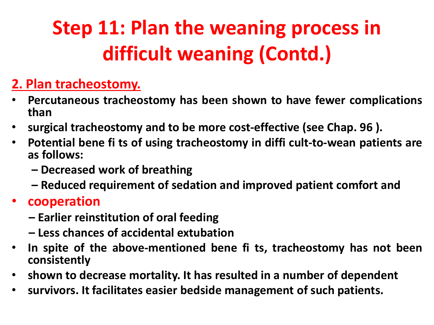#### **Step 11: Plan the weaning process in difficult weaning (Contd.)**

#### **2. Plan tracheostomy.**

- **Percutaneous tracheostomy has been shown to have fewer complications than**
- **surgical tracheostomy and to be more cost-effective (see Chap. 96 ).**
- **Potential bene fi ts of using tracheostomy in diffi cult-to-wean patients are as follows:**
	- **– Decreased work of breathing**
	- **– Reduced requirement of sedation and improved patient comfort and**

#### • **cooperation**

- **– Earlier reinstitution of oral feeding**
- **– Less chances of accidental extubation**
- **In spite of the above-mentioned bene fi ts, tracheostomy has not been consistently**
- **shown to decrease mortality. It has resulted in a number of dependent**
- **survivors. It facilitates easier bedside management of such patients.**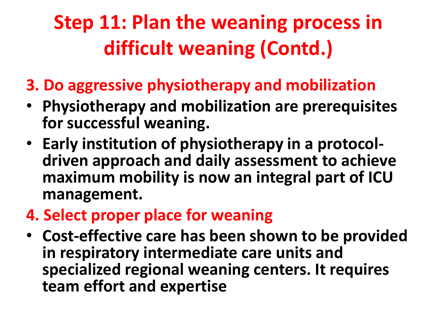#### **Step 11: Plan the weaning process in difficult weaning (Contd.)**

- **3. Do aggressive physiotherapy and mobilization**
- **Physiotherapy and mobilization are prerequisites for successful weaning.**
- **Early institution of physiotherapy in a protocoldriven approach and daily assessment to achieve maximum mobility is now an integral part of ICU management.**
- **4. Select proper place for weaning**
- **Cost-effective care has been shown to be provided in respiratory intermediate care units and specialized regional weaning centers. It requires team effort and expertise**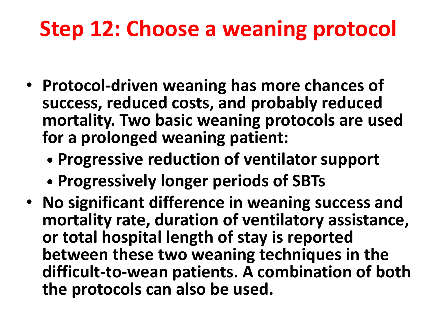### **Step 12: Choose a weaning protocol**

- **Protocol-driven weaning has more chances of success, reduced costs, and probably reduced mortality. Two basic weaning protocols are used for a prolonged weaning patient:**
	- **• Progressive reduction of ventilator support**
	- **• Progressively longer periods of SBTs**
- **No significant difference in weaning success and mortality rate, duration of ventilatory assistance, or total hospital length of stay is reported between these two weaning techniques in the difficult-to-wean patients. A combination of both the protocols can also be used.**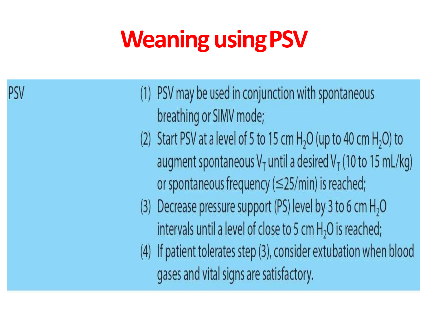# **Weaning usingPSV**

PSV

(1) PSV may be used in conjunction with spontaneous breathing or SIMV mode; (2) Start PSV at a level of 5 to 15 cm  $H<sub>2</sub>O$  (up to 40 cm  $H<sub>2</sub>O$ ) to augment spontaneous  $V_T$  until a desired  $V_T$  (10 to 15 mL/kg) or spontaneous frequency  $(\leq$ 25/min) is reached; Decrease pressure support (PS) level by 3 to 6 cm  $H_2O$  $(3)$ intervals until a level of close to 5 cm  $H<sub>2</sub>O$  is reached; (4) If patient tolerates step (3), consider extubation when blood gases and vital signs are satisfactory.